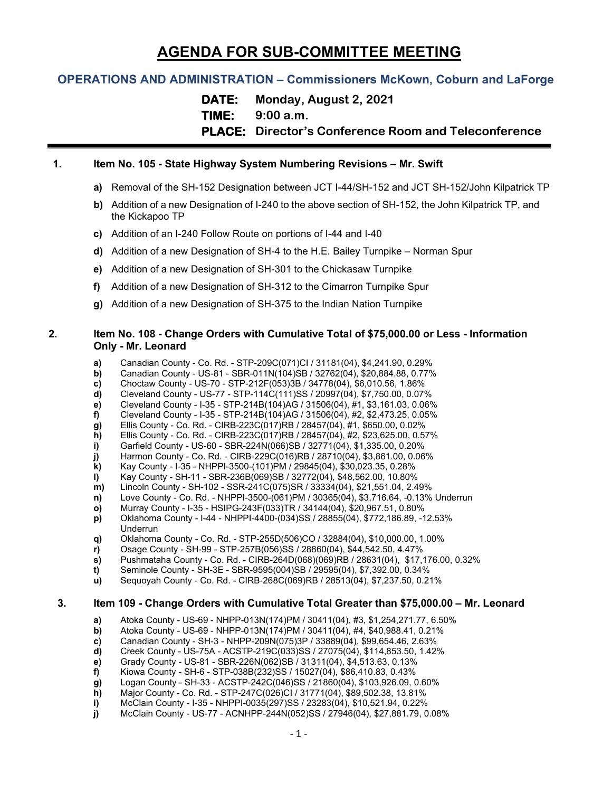# **AGENDA FOR SUB-COMMITTEE MEETING**

# **OPERATIONS AND ADMINISTRATION – Commissioners McKown, Coburn and LaForge**

**DATE: Monday, August 2, 2021**

**TIME: 9:00 a.m.**

**PLACE: Director's Conference Room and Teleconference**

# **1. Item No. 105 - State Highway System Numbering Revisions – Mr. Swift**

- **a)** Removal of the SH-152 Designation between JCT I-44/SH-152 and JCT SH-152/John Kilpatrick TP
- **b)** Addition of a new Designation of I-240 to the above section of SH-152, the John Kilpatrick TP, and the Kickapoo TP
- **c)** Addition of an I-240 Follow Route on portions of I-44 and I-40
- **d)** Addition of a new Designation of SH-4 to the H.E. Bailey Turnpike Norman Spur
- **e)** Addition of a new Designation of SH-301 to the Chickasaw Turnpike
- **f)** Addition of a new Designation of SH-312 to the Cimarron Turnpike Spur
- **g)** Addition of a new Designation of SH-375 to the Indian Nation Turnpike

#### **2. Item No. 108 - Change Orders with Cumulative Total of \$75,000.00 or Less - Information Only - Mr. Leonard**

- **a)** Canadian County Co. Rd. STP-209C(071)CI / 31181(04), \$4,241.90, 0.29%
- **b)** Canadian County US-81 SBR-011N(104)SB / 32762(04), \$20,884.88, 0.77%<br>**c)** Choctaw County US-70 STP-212F(053)3B / 34778(04), \$6,010.56, 1.86%
- **c)** Choctaw County US-70 STP-212F(053)3B / 34778(04), \$6,010.56, 1.86%
- **d)** Cleveland County US-77 STP-114C(111)SS / 20997(04), \$7,750.00, 0.07%
- **e)** Cleveland County I-35 STP-214B(104)AG / 31506(04), #1, \$3,161.03, 0.06%
- **f)** Cleveland County I-35 STP-214B(104)AG / 31506(04), #2, \$2,473.25, 0.05%
- **g)** Ellis County Co. Rd. CIRB-223C(017)RB / 28457(04), #1, \$650.00, 0.02%
- **h)** Ellis County Co. Rd. CIRB-223C(017)RB / 28457(04), #2, \$23,625.00, 0.57%<br>**i)** Garfield County US-60 SBR-224N(066)SB / 32771(04), \$1,335.00, 0.20%
- **i)** Garfield County US-60 SBR-224N(066)SB / 32771(04), \$1,335.00, 0.20%
- **j)** Harmon County Co. Rd. CIRB-229C(016)RB / 28710(04), \$3,861.00, 0.06%<br>**k)** Kay County I-35 NHPPI-3500-(101)PM / 29845(04), \$30,023.35, 0.28%
- **k)** Kay County I-35 NHPPI-3500-(101)PM / 29845(04), \$30,023.35, 0.28%
- **l)** Kay County SH-11 SBR-236B(069)SB / 32772(04), \$48,562.00, 10.80%
- **m)** Lincoln County SH-102 SSR-241C(075)SR / 33334(04), \$21,551.04, 2.49%
- **n)** Love County Co. Rd. NHPPI-3500-(061)PM / 30365(04), \$3,716.64, -0.13% Underrun
- **o)** Murray County I-35 HSIPG-243F(033)TR / 34144(04), \$20,967.51, 0.80%<br>**p)** Cklahoma County I-44 NHPPI-4400-(034)SS / 28855(04), \$772,186.89, -1
- **p)** Oklahoma County I-44 NHPPI-4400-(034)SS / 28855(04), \$772,186.89, -12.53% Underrun
- **q)** Oklahoma County Co. Rd. STP-255D(506)CO / 32884(04), \$10,000.00, 1.00%
- **r)** Osage County SH-99 STP-257B(056)SS / 28860(04), \$44,542.50, 4.47%
- **s)** Pushmataha County Co. Rd. CIRB-264D(068)(069)RB / 28631(04), \$17,176.00, 0.32%
- **t)** Seminole County SH-3E SBR-9595(004)SB / 29595(04), \$7,392.00, 0.34%
- **u)** Sequoyah County Co. Rd. CIRB-268C(069)RB / 28513(04), \$7,237.50, 0.21%

#### **3. Item 109 - Change Orders with Cumulative Total Greater than \$75,000.00 – Mr. Leonard**

- **a)** Atoka County US-69 NHPP-013N(174)PM / 30411(04), #3, \$1,254,271.77, 6.50%
- **b)** Atoka County US-69 NHPP-013N(174)PM / 30411(04), #4, \$40,988.41, 0.21%
- **c)** Canadian County SH-3 NHPP-209N(075)3P / 33889(04), \$99,654.46, 2.63%
- **d)** Creek County US-75A ACSTP-219C(033)SS / 27075(04), \$114,853.50, 1.42%
- **e)** Grady County US-81 SBR-226N(062)SB / 31311(04), \$4,513.63, 0.13%
- **f)** Kiowa County SH-6 STP-038B(232)SS / 15027(04), \$86,410.83, 0.43%
- **g)** Logan County SH-33 ACSTP-242C(046)SS / 21860(04), \$103,926.09, 0.60%
- **h)** Major County Co. Rd. STP-247C(026)CI / 31771(04), \$89,502.38, 13.81%
- **i)** McClain County I-35 NHPPI-0035(297)SS / 23283(04), \$10,521.94, 0.22%
- **j)** McClain County US-77 ACNHPP-244N(052)SS / 27946(04), \$27,881.79, 0.08%